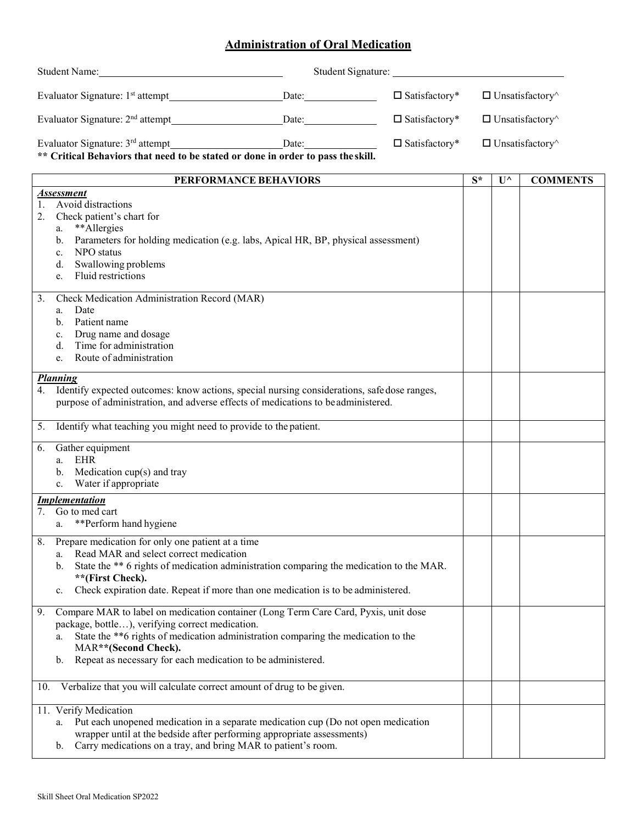## **Administration of Oral Medication**

| Student Name: Name and Student Name and Student Name and Student Name and Student Name and Student Name and Student Name and Student Name and Student Name and Student Name and Student Name and Student Name and Student Name |                                                                                                                                                                                                                                                                                                                                |  |                               |                               |                               |                 |  |
|--------------------------------------------------------------------------------------------------------------------------------------------------------------------------------------------------------------------------------|--------------------------------------------------------------------------------------------------------------------------------------------------------------------------------------------------------------------------------------------------------------------------------------------------------------------------------|--|-------------------------------|-------------------------------|-------------------------------|-----------------|--|
| Evaluator Signature: 1 <sup>st</sup> attempt______________________________Date:_____________                                                                                                                                   |                                                                                                                                                                                                                                                                                                                                |  | $\Box$ Satisfactory*          | $\Box$ Unsatisfactory $\land$ |                               |                 |  |
| Evaluator Signature: 2 <sup>nd</sup> attempt_____________________________Date:______________<br>$\square$ Satisfactory*                                                                                                        |                                                                                                                                                                                                                                                                                                                                |  | $\Box$ Unsatisfactory $\land$ |                               |                               |                 |  |
| Evaluator Signature: 3 <sup>rd</sup> attempt______________________________Date:__________________<br>$\square$ Satisfactory*<br>** Critical Behaviors that need to be stated or done in order to pass the skill.               |                                                                                                                                                                                                                                                                                                                                |  |                               |                               | $\Box$ Unsatisfactory $\land$ |                 |  |
|                                                                                                                                                                                                                                | PERFORMANCE BEHAVIORS                                                                                                                                                                                                                                                                                                          |  |                               | $S^*$                         | $\mathbf{U}^{\wedge}$         | <b>COMMENTS</b> |  |
| 1.<br>2.                                                                                                                                                                                                                       | <b>Assessment</b><br>Avoid distractions<br>Check patient's chart for<br>**Allergies<br>a.<br>Parameters for holding medication (e.g. labs, Apical HR, BP, physical assessment)<br>b.<br>NPO status<br>$\mathbf{c}$ .<br>Swallowing problems<br>d.<br>Fluid restrictions<br>e.                                                  |  |                               |                               |                               |                 |  |
| 3.                                                                                                                                                                                                                             | Check Medication Administration Record (MAR)<br>Date<br>a.<br>Patient name<br>b.<br>Drug name and dosage<br>c.<br>Time for administration<br>d.<br>Route of administration<br>e.                                                                                                                                               |  |                               |                               |                               |                 |  |
| <b>Planning</b><br>4.<br>Identify expected outcomes: know actions, special nursing considerations, safe dose ranges,<br>purpose of administration, and adverse effects of medications to be administered.                      |                                                                                                                                                                                                                                                                                                                                |  |                               |                               |                               |                 |  |
|                                                                                                                                                                                                                                | 5. Identify what teaching you might need to provide to the patient.                                                                                                                                                                                                                                                            |  |                               |                               |                               |                 |  |
| 6.                                                                                                                                                                                                                             | Gather equipment<br>EHR<br>a.<br>Medication $cup(s)$ and tray<br>b.<br>c. Water if appropriate                                                                                                                                                                                                                                 |  |                               |                               |                               |                 |  |
|                                                                                                                                                                                                                                | <b>Implementation</b>                                                                                                                                                                                                                                                                                                          |  |                               |                               |                               |                 |  |
|                                                                                                                                                                                                                                | 7. Go to med cart<br>**Perform hand hygiene<br>a.                                                                                                                                                                                                                                                                              |  |                               |                               |                               |                 |  |
| 8.                                                                                                                                                                                                                             | Prepare medication for only one patient at a time<br>Read MAR and select correct medication<br>a.<br>State the ** 6 rights of medication administration comparing the medication to the MAR.<br>b.<br>**(First Check).<br>Check expiration date. Repeat if more than one medication is to be administered.<br>c.               |  |                               |                               |                               |                 |  |
| 9.                                                                                                                                                                                                                             | Compare MAR to label on medication container (Long Term Care Card, Pyxis, unit dose<br>package, bottle), verifying correct medication.<br>State the **6 rights of medication administration comparing the medication to the<br>a.<br>MAR**(Second Check).<br>Repeat as necessary for each medication to be administered.<br>b. |  |                               |                               |                               |                 |  |
| 10.                                                                                                                                                                                                                            | Verbalize that you will calculate correct amount of drug to be given.                                                                                                                                                                                                                                                          |  |                               |                               |                               |                 |  |
|                                                                                                                                                                                                                                | 11. Verify Medication                                                                                                                                                                                                                                                                                                          |  |                               |                               |                               |                 |  |

a. Put each unopened medication in a separate medication cup (Do not open medication wrapper until at the bedside after performing appropriate assessments) b. Carry medications on a tray, and bring MAR to patient's room.